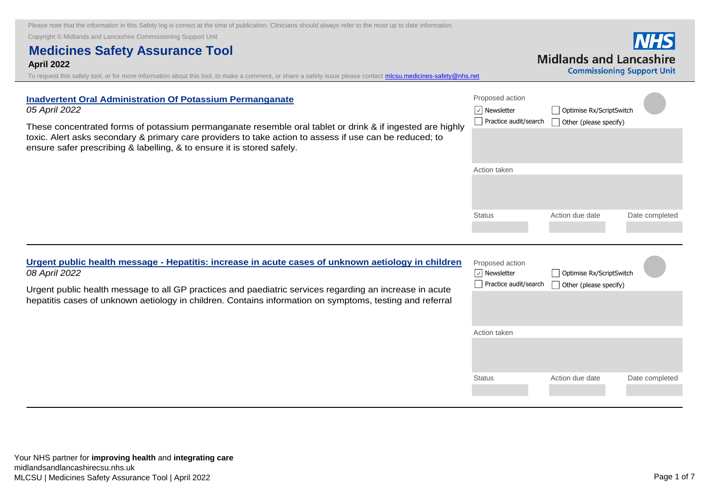Copyright © Midlands and Lancashire Commissioning Support Unit

# **Medicines Safety Assurance Tool April 2022**

To request this safety tool, or for more information about this tool, to make a comment, or share a safety issue please contact *mlcsu.medicines-safety@nhs.net* 

| <b>Inadvertent Oral Administration Of Potassium Permanganate</b><br>05 April 2022<br>These concentrated forms of potassium permanganate resemble oral tablet or drink & if ingested are highly<br>toxic. Alert asks secondary & primary care providers to take action to assess if use can be reduced; to<br>ensure safer prescribing & labelling, & to ensure it is stored safely. | Proposed action<br>$\sqrt{ }$ Newsletter<br>Practice audit/search | Optimise Rx/ScriptSwitch<br>Other (please specify) |                |
|-------------------------------------------------------------------------------------------------------------------------------------------------------------------------------------------------------------------------------------------------------------------------------------------------------------------------------------------------------------------------------------|-------------------------------------------------------------------|----------------------------------------------------|----------------|
|                                                                                                                                                                                                                                                                                                                                                                                     | Action taken                                                      |                                                    |                |
|                                                                                                                                                                                                                                                                                                                                                                                     | <b>Status</b>                                                     | Action due date                                    | Date completed |

Proposed action **Urgent public health message - Hepatitis: increase of unknown and interests** *08 April 2022*

Urgent public health message to all GP practices hepatitis cases of unknown aetiology in children.

| ease in acute cases of unknown aetiology in children   | Proposed a         |
|--------------------------------------------------------|--------------------|
| and paediatric services regarding an increase in acute | $ \vee $ Newslette |
| Contains information on symptoms, testing and referral | Practice a         |
|                                                        | Action taker       |

| Proposed action<br>Newsletter<br>Practice audit/search | Optimise Rx/ScriptSwitch<br>Other (please specify) |                |
|--------------------------------------------------------|----------------------------------------------------|----------------|
|                                                        |                                                    |                |
| Action taken                                           |                                                    |                |
| <b>Status</b>                                          | Action due date                                    | Date completed |

**INHS Midlands and Lancashire Commissioning Support Unit**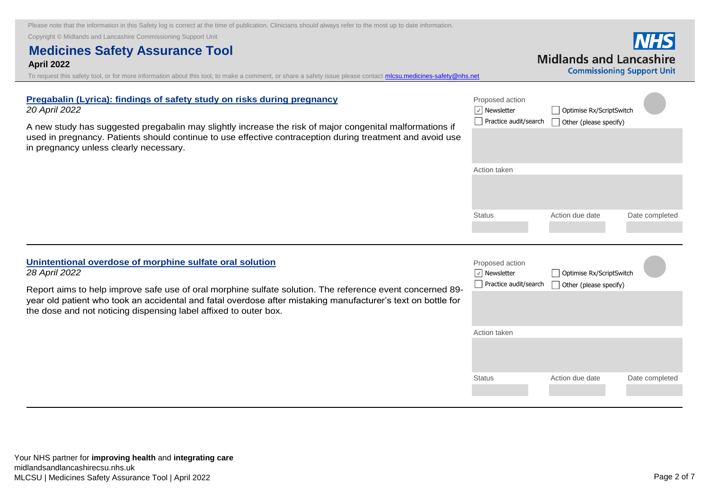A new study has suggested pregabalin may slightly increase the risk of major congenital malformations if [used in pregnancy. Patients should continue to use effective contraception during treatment and avoid use](https://lnks.gd/l/eyJhbGciOiJIUzI1NiJ9.eyJidWxsZXRpbl9saW5rX2lkIjoxMDEsInVyaSI6ImJwMjpjbGljayIsImJ1bGxldGluX2lkIjoiMjAyMjA0MjAuNTY2Nzk3ODEiLCJ1cmwiOiJodHRwczovL3d3dy5nb3YudWsvZHJ1Zy1zYWZldHktdXBkYXRlL3ByZWdhYmFsaW4tbHlyaWNhLWZpbmRpbmdzLW9mLXNhZmV0eS1zdHVkeS1vbi1yaXNrcy1kdXJpbmctcHJlZ25hbmN5In0.UQSE7KVOUrHL8tW9XxMsiGFOaiCh0HRbM0tq-MU9L9E/s/787027135/br/130059683217-l) 

Copyright © Midlands and Lancashire Commissioning Support Unit

in pregnancy unless clearly necessary.

*20 April 2022*

# **Medicines Safety Assurance Tool April 2022**

**Pregabalin (Lyrica): findings of safety study on risks during pregnancy**

To request this safety tool, or for more information about this tool, to make a comment, or share a safety issue please contact *mlcsu.medicines-safety@nhs.net* 

# Proposed action Action taken l **V** Newsletter **Optimise Rx/ScriptSwitch**  $\Box$  Practice audit/search  $\Box$  Other (please specify)

Status **Action due date** Date completed

**Unintentional overdose of morphine sulfate oral solution**  *28 April 2022*

> Report aims to help improve safe use of oral morphine sulfate solution. The reference event concerned 89 [year old patient who took an accidental and fatal overdose after mistaking manufacturer's text on bottle for](https://nice.us8.list-manage.com/track/click?u=7864f766b10b8edd18f19aa56&id=dab14c4287&e=bb4189a0f3)  the dose and not noticing dispensing label affixed to outer box.

| Your NHS partner for improving health and integrating care |  |
|------------------------------------------------------------|--|

| 9- | Proposed action<br>Newsletter<br>Practice audit/search | Optimise Rx/ScriptSwitch<br>Other (please specify) |  |                |  |
|----|--------------------------------------------------------|----------------------------------------------------|--|----------------|--|
| σr |                                                        |                                                    |  |                |  |
|    | Action taken                                           |                                                    |  |                |  |
|    | <b>Status</b>                                          | Action due date                                    |  | Date completed |  |
|    |                                                        |                                                    |  |                |  |

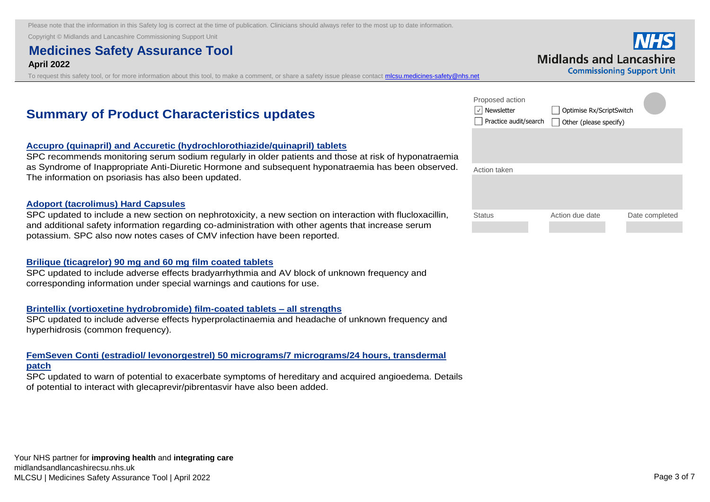Copyright © Midlands and Lancashire Commissioning Support Unit

# **Medicines Safety Assurance Tool April 2022**

To request this safety tool, or for more information about this tool, to make a comment, or share a safety issue please contact *micsu.medicines-safety@nhs.net* 

|                                |  | <b>NHS</b>                 |
|--------------------------------|--|----------------------------|
| <b>Midlands and Lancashire</b> |  |                            |
|                                |  | Commiccioning Cunnort Unit |

# **Summary of Product Characteristics updates**

# **Accupro (quinapril) and Accuretic (hydrochlorothiazide/quinapril) tablets**

[SPC recommends monitoring serum sodium regularly in older patients and those at risk of hyponatraemia](https://nice.us8.list-manage.com/track/click?u=7864f766b10b8edd18f19aa56&id=ab6b9b207d&e=bb4189a0f3)  as Syndrome of Inappropriate Anti-Diuretic Hormone and subsequent hyponatraemia has been observed. The information on psoriasis has also been updated.

#### **Adoport (tacrolimus) Hard Capsules**

[SPC updated to include a new section on nephrotoxicity, a new section on interaction with flucloxacillin,](https://nice.us8.list-manage.com/track/click?u=7864f766b10b8edd18f19aa56&id=d11b4b7e02&e=bb4189a0f3)  and additional safety information regarding co-administration with other agents that increase serum potassium. SPC also now notes cases of CMV infection have been reported.

#### **Brilique (ticagrelor) 90 mg and 60 mg film coated tablets**

[SPC updated to include adverse effects bradyarrhythmia and AV block of unknown frequency and](https://nice.us8.list-manage.com/track/click?u=7864f766b10b8edd18f19aa56&id=7a4a4dd094&e=bb4189a0f3)  corresponding information under special warnings and cautions for use.

# **Brintellix (vortioxetine hydrobromide) film-coated tablets – all strengths**

[SPC updated to include adverse effects hyperprolactinaemia and headache of unknown frequency and](https://nice.us8.list-manage.com/track/click?u=7864f766b10b8edd18f19aa56&id=9c63d43cde&e=bb4189a0f3)  hyperhidrosis (common frequency).

# **FemSeven Conti (estradiol/ levonorgestrel) 50 micrograms/7 micrograms/24 hours, transdermal patch**

[SPC updated to warn of potential to exacerbate symptoms of hereditary and acquired angioedema. Details](https://nice.us8.list-manage.com/track/click?u=7864f766b10b8edd18f19aa56&id=bd418a423a&e=bb4189a0f3)  of potential to interact with glecaprevir/pibrentasvir have also been added.

| Proposed action<br>Newsletter<br>Practice audit/search | Optimise Rx/ScriptSwitch<br>Other (please specify) |                |
|--------------------------------------------------------|----------------------------------------------------|----------------|
|                                                        |                                                    |                |
| Action taken                                           |                                                    |                |
| <b>Status</b>                                          | Action due date                                    | Date completed |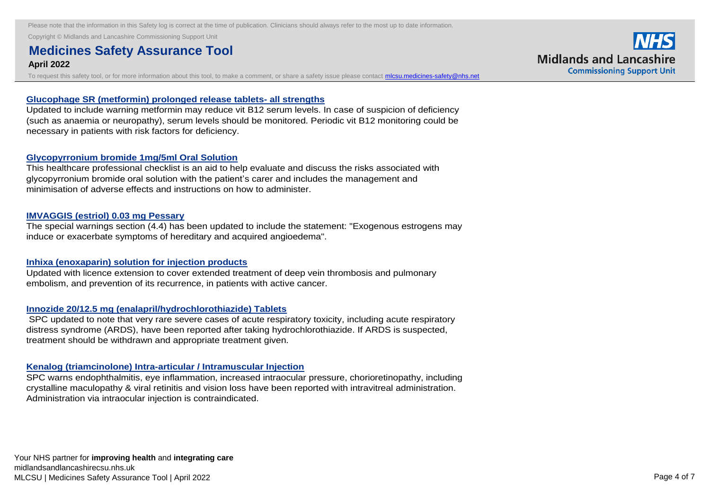Copyright © Midlands and Lancashire Commissioning Support Unit<br> **Fem Seven Continued Continued Continued Continued Continued Continued Continued Continued Continued Continued Continued Continued Continued Continued Continu** 

#### **Medicines Safety Assurance Tool April 2022**  $\Delta$ pc updated to warn of potential to warn of  $\alpha$  and accurace symptoms of  $\alpha$  and accurace symptoms of  $\alpha$

To request this safety tool, or for more information about this tool, to make a comment, or share a safety issue please contact **micsu.medicines-safety@nhs.net** 

### **Glucophage SR (metformin) prolonged release tablets- all strengths**

[Updated to include warning metformin may reduce vit B12 serum levels. In case of suspicion of deficiency](https://nice.us8.list-manage.com/track/click?u=7864f766b10b8edd18f19aa56&id=de82ec1690&e=bb4189a0f3)  (such as anaemia or neuropathy), serum levels should be monitored. Periodic vit B12 monitoring could be necessary in patients with risk factors for deficiency.

### **Glycopyrronium bromide 1mg/5ml Oral Solution**

[This healthcare professional checklist is an aid to help evaluate and discuss the risks associated with](https://nice.us8.list-manage.com/track/click?u=7864f766b10b8edd18f19aa56&id=d4974e7147&e=bb4189a0f3)  glycopyrronium bromide oral solution with the patient's carer and includes the management and minimisation of adverse effects and instructions on how to administer.

### **IMVAGGIS (estriol) 0.03 mg Pessary**

[The special warnings section \(4.4\) has been updated to include the statement: "Exogenous estrogens may](https://nice.us8.list-manage.com/track/click?u=7864f766b10b8edd18f19aa56&id=e0a9e1bb94&e=bb4189a0f3)  induce or exacerbate symptoms of hereditary and acquired angioedema".

#### **Inhixa (enoxaparin) solution for injection products**

[Updated with licence extension to cover extended treatment of deep vein thrombosis and pulmonary](https://nice.us8.list-manage.com/track/click?u=7864f766b10b8edd18f19aa56&id=13d49d1a80&e=bb4189a0f3)  embolism, and prevention of its recurrence, in patients with active cancer.

# **Innozide 20/12.5 mg (enalapril/hydrochlorothiazide) Tablets**

SPC updated to note that very rare severe cases of acute respiratory toxicity, including acute respiratory distress syndrome (ARDS), have been reported after taking hydrochlorothiazide. If ARDS is suspected, treatment should be withdrawn and appropriate treatment given.

# **Kenalog (triamcinolone) Intra-articular / Intramuscular Injection**

[SPC warns endophthalmitis, eye inflammation, increased intraocular pressure, chorioretinopathy, including](https://nice.us8.list-manage.com/track/click?u=7864f766b10b8edd18f19aa56&id=bc7b7815e3&e=bb4189a0f3)  crystalline maculopathy & viral retinitis and vision loss have been reported with intravitreal administration. Administration via intraocular injection is contraindicated.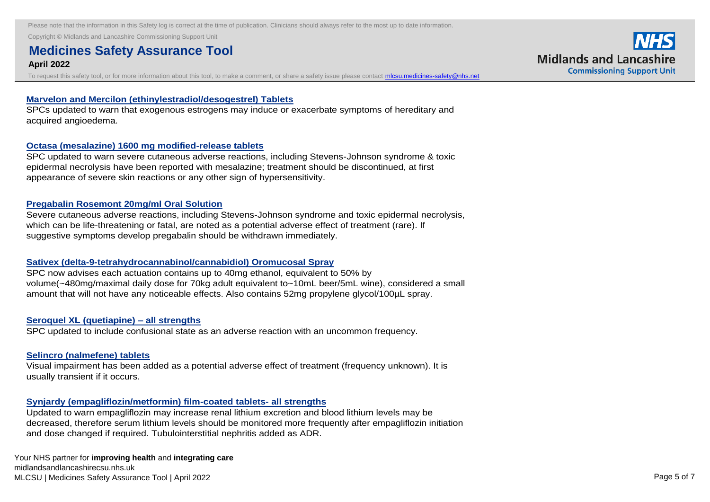Copyright © Midlands and Lancashire Commissioning Support Unit<br> **Kenalog (triamcinologies)** Inter-articular Inter-articular Inter-articular Inter-articular Inter-articular Inter-

#### **Medicines Safety Assurance Tool and an american pressure, increased intraocular pressure, chorioretinopathy, including intraocular pressure, chorioretinopathy, including intraocular pressure, chorioretinopathy, including April 2022** crystalline maculopathy and viral retinition loss have been reported with interaction. The crystalline maculopathy and vision loss have been reported with interaction. The crystalline with interaction and vision of the cry

To request this safety tool, or for more information about this tool, to make a comment, or share a safety issue please contact *micsu.medicines-safety@nhs.net* 

#### **Marvelon and Mercilon (ethinylestradiol/desogestrel) Tablets**

[SPCs updated to warn that exogenous estrogens may induce or exacerbate symptoms of hereditary and](https://nice.us8.list-manage.com/track/click?u=7864f766b10b8edd18f19aa56&id=0dcb5718d7&e=bb4189a0f3)  acquired angioedema.

#### **Octasa (mesalazine) 1600 mg modified-release tablets**

[SPC updated to warn severe cutaneous adverse reactions, including Stevens-Johnson syndrome & toxic](https://nice.us8.list-manage.com/track/click?u=7864f766b10b8edd18f19aa56&id=8bf623d059&e=bb4189a0f3)  epidermal necrolysis have been reported with mesalazine; treatment should be discontinued, at first appearance of severe skin reactions or any other sign of hypersensitivity.

#### **Pregabalin Rosemont 20mg/ml Oral Solution**

[Severe cutaneous adverse reactions, including Stevens-Johnson syndrome and toxic epidermal necrolysis,](https://nice.us8.list-manage.com/track/click?u=7864f766b10b8edd18f19aa56&id=ce210b1b9c&e=bb4189a0f3)  which can be life-threatening or fatal, are noted as a potential adverse effect of treatment (rare). If suggestive symptoms develop pregabalin should be withdrawn immediately.

#### **Sativex (delta-9-tetrahydrocannabinol/cannabidiol) Oromucosal Spray**

SPC now advises each actuation contains up to 40mg ethanol, equivalent to 50% by [volume\(~480mg/maximal daily dose for 70kg adult equivalent to~10mL beer/5mL wine\), considered a small](https://nice.us8.list-manage.com/track/click?u=7864f766b10b8edd18f19aa56&id=43931a721d&e=bb4189a0f3)  amount that will not have any noticeable effects. Also contains 52mg propylene glycol/100µL spray.

#### **Seroquel XL (quetiapine) – all strengths**

[SPC updated to include confusional state as an adverse reaction with an uncommon frequency.](https://nice.us8.list-manage.com/track/click?u=7864f766b10b8edd18f19aa56&id=ca6041d787&e=bb4189a0f3)

#### **Selincro (nalmefene) tablets**

Visual impairment has been added as a potential [adverse effect of treatment \(frequency unknown\). It is](https://nice.us8.list-manage.com/track/click?u=7864f766b10b8edd18f19aa56&id=c7add7f46c&e=bb4189a0f3)  usually transient if it occurs.

#### **Synjardy (empagliflozin/metformin) film-coated tablets- all strengths**

Updated to warn empagliflozin may increase renal lithium excretion and blood lithium levels may be [decreased, therefore serum lithium levels should be monitored more frequently after empagliflozin initiation](https://nice.us8.list-manage.com/track/click?u=7864f766b10b8edd18f19aa56&id=5cde4bf1b5&e=bb4189a0f3)  and dose changed if required. Tubulointerstitial nephritis added as ADR.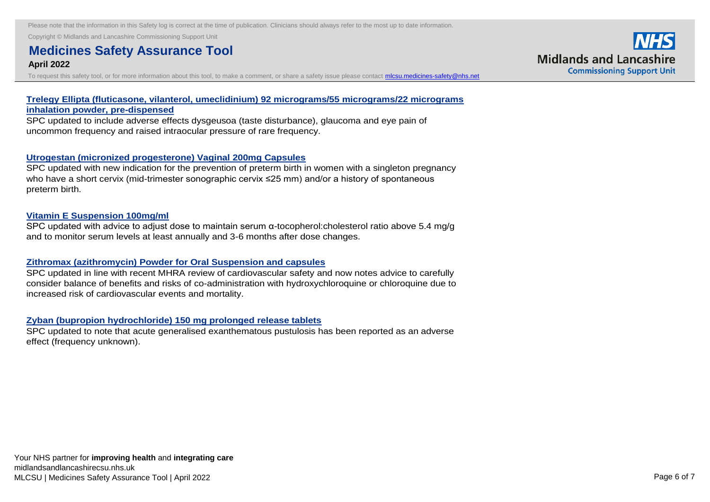**Copyright © Midlands and Lancashire Commissioning Support Unit**<br> **Symphony film-coated tablets- all strengths and strengths all strengths and strengths all strengths and strengths in the strengths of the strengths of th** 

#### **Medicines Safety Assurance Tool and blood little may increase renal little may be a set of the set of the set o April 2022** decreased, therefore server server server server should be more frequently after empaging after experimental be monitored more frequently after experimental after experimental after experimental after empaging after experi

To request this safety tool, or for more information about this tool, to make a comment, or share a safety issue please contact **micsu.medicines-safety@nhs.net** 

# **Trelegy [Ellipta \(fluticasone, vilanterol, umeclidinium\) 92 micrograms/55 micrograms/22 micrograms](https://nice.us8.list-manage.com/track/click?u=7864f766b10b8edd18f19aa56&id=1ce802a182&e=bb4189a0f3)  inhalation powder, pre-dispensed**

SPC updated to include adverse effects dysgeusoa (taste disturbance), glaucoma and eye pain of uncommon frequency and raised intraocular pressure of rare frequency.

# **Utrogestan (micronized progesterone) Vaginal 200mg Capsules**

[SPC updated with new indication for the prevention of preterm birth in women with a singleton pregnancy](https://nice.us8.list-manage.com/track/click?u=7864f766b10b8edd18f19aa56&id=4c23c42b9f&e=bb4189a0f3)  who have a short cervix (mid-trimester sonographic cervix ≤25 mm) and/or a history of spontaneous preterm birth.

### **Vitamin E Suspension 100mg/ml**

[SPC updated with advice to adjust dose to maintain serum α-tocopherol:cholesterol ratio above 5.4 mg/g](https://nice.us8.list-manage.com/track/click?u=7864f766b10b8edd18f19aa56&id=09e7bdaf74&e=bb4189a0f3)  and to monitor serum levels at least annually and 3-6 months after dose changes.

# **Zithromax (azithromycin) Powder for Oral Suspension and capsules**

SPC updated in line with recent MHRA review of cardiovascular safety and now notes advice to carefully [consider balance of benefits and risks of co-administration with hydroxychloroquine or chloroquine due to](https://nice.us8.list-manage.com/track/click?u=7864f766b10b8edd18f19aa56&id=d84795ea5c&e=bb4189a0f3)  increased risk of cardiovascular events and mortality.

#### **Zyban (bupropion hydrochloride) 150 mg prolonged release tablets**

[SPC updated to note that acute generalised exanthematous pustulosis has been reported as an adverse](https://nice.us8.list-manage.com/track/click?u=7864f766b10b8edd18f19aa56&id=c6458fc9eb&e=bb4189a0f3)  effect (frequency unknown).